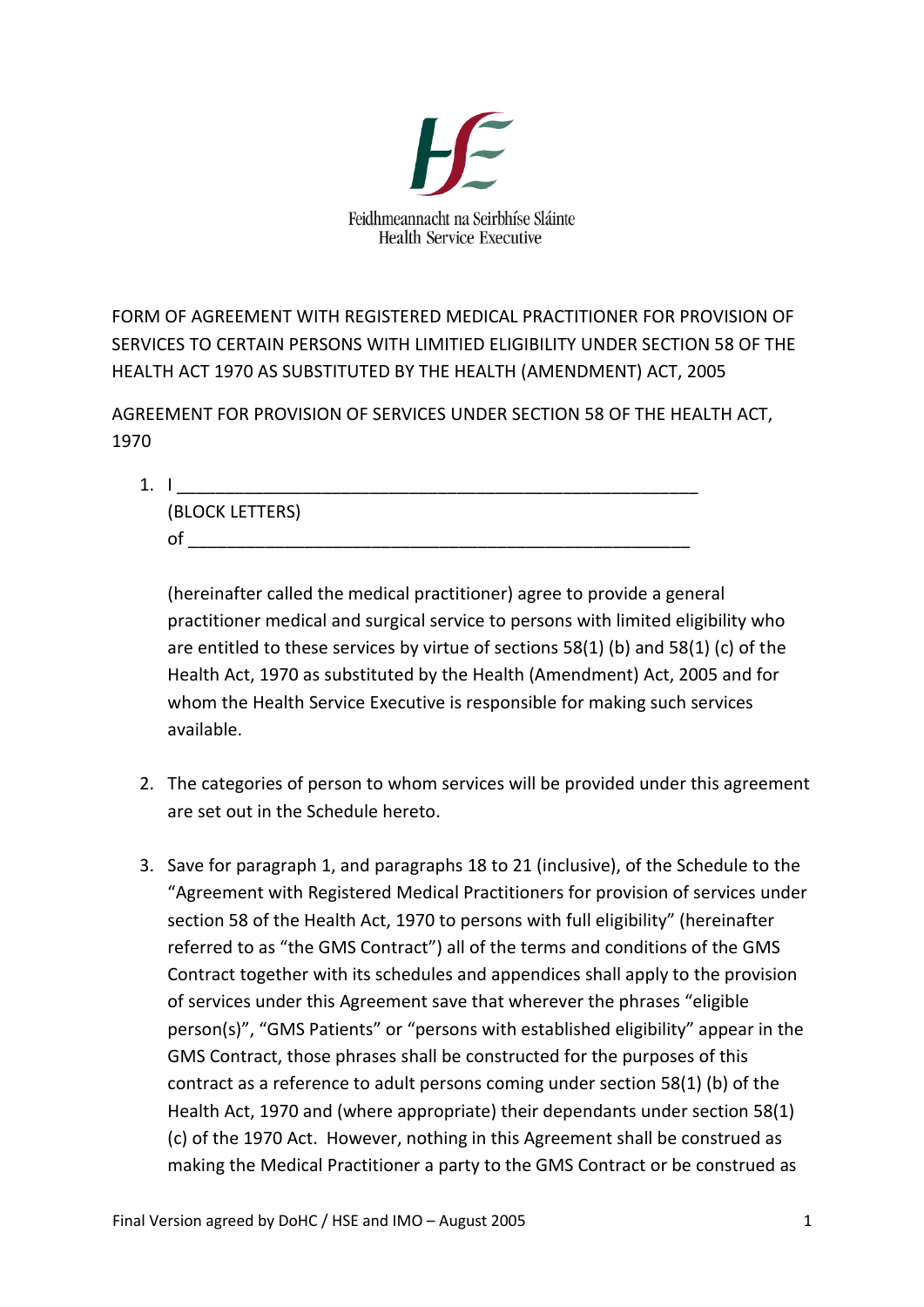

FORM OF AGREEMENT WITH REGISTERED MEDICAL PRACTITIONER FOR PROVISION OF SERVICES TO CERTAIN PERSONS WITH LIMITIED ELIGIBILITY UNDER SECTION 58 OF THE HEALTH ACT 1970 AS SUBSTITUTED BY THE HEALTH (AMENDMENT) ACT, 2005

AGREEMENT FOR PROVISION OF SERVICES UNDER SECTION 58 OF THE HEALTH ACT, 1970

 $1. \; 1 \; 1$ 

(BLOCK LETTERS) of \_\_\_\_\_\_\_\_\_\_\_\_\_\_\_\_\_\_\_\_\_\_\_\_\_\_\_\_\_\_\_\_\_\_\_\_\_\_\_\_\_\_\_\_\_\_\_\_\_\_\_\_

(hereinafter called the medical practitioner) agree to provide a general practitioner medical and surgical service to persons with limited eligibility who are entitled to these services by virtue of sections 58(1) (b) and 58(1) (c) of the Health Act, 1970 as substituted by the Health (Amendment) Act, 2005 and for whom the Health Service Executive is responsible for making such services available.

- 2. The categories of person to whom services will be provided under this agreement are set out in the Schedule hereto.
- 3. Save for paragraph 1, and paragraphs 18 to 21 (inclusive), of the Schedule to the "Agreement with Registered Medical Practitioners for provision of services under section 58 of the Health Act, 1970 to persons with full eligibility" (hereinafter referred to as "the GMS Contract") all of the terms and conditions of the GMS Contract together with its schedules and appendices shall apply to the provision of services under this Agreement save that wherever the phrases "eligible person(s)", "GMS Patients" or "persons with established eligibility" appear in the GMS Contract, those phrases shall be constructed for the purposes of this contract as a reference to adult persons coming under section 58(1) (b) of the Health Act, 1970 and (where appropriate) their dependants under section 58(1) (c) of the 1970 Act. However, nothing in this Agreement shall be construed as making the Medical Practitioner a party to the GMS Contract or be construed as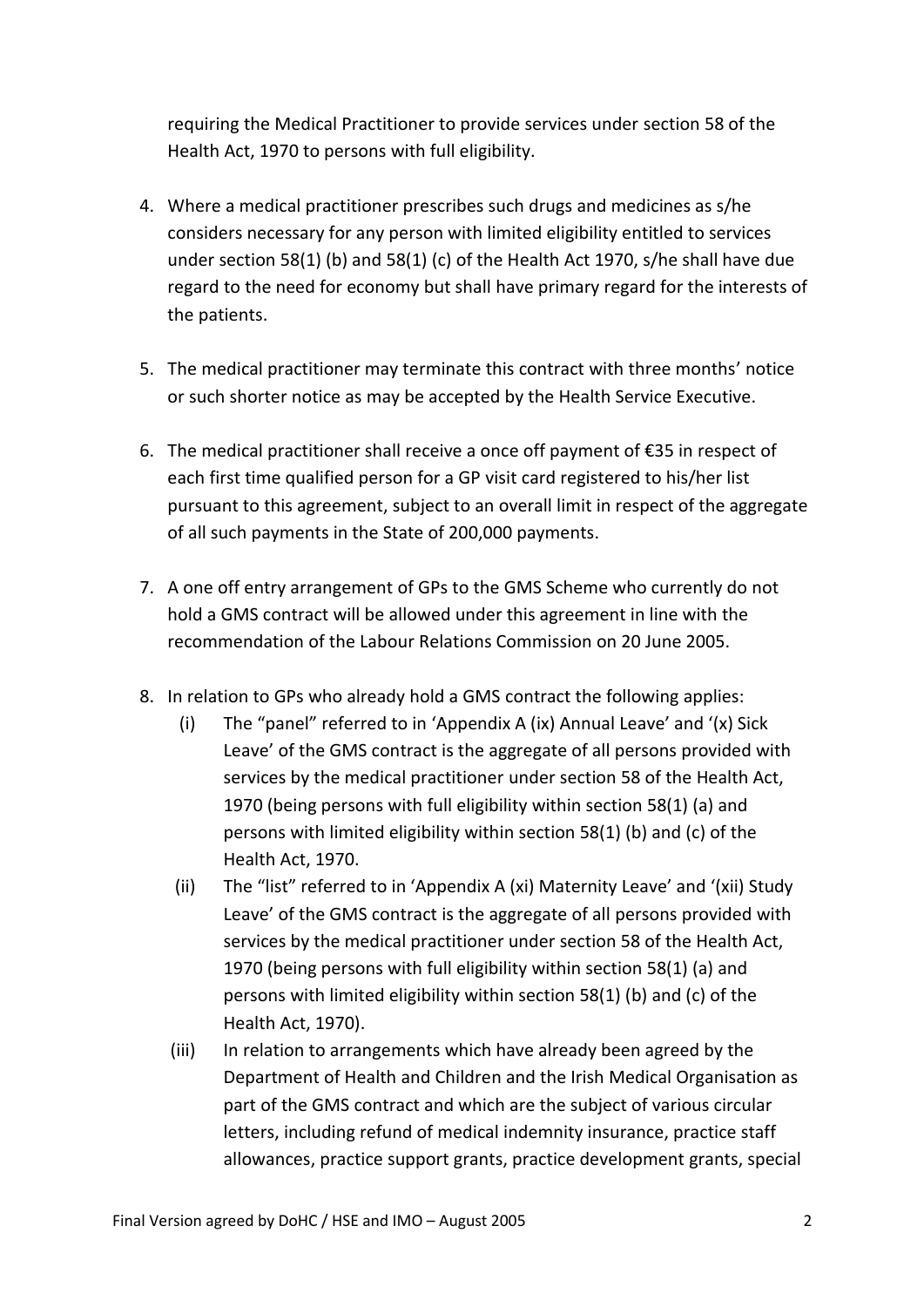requiring the Medical Practitioner to provide services under section 58 of the Health Act, 1970 to persons with full eligibility.

- 4. Where a medical practitioner prescribes such drugs and medicines as s/he considers necessary for any person with limited eligibility entitled to services under section 58(1) (b) and 58(1) (c) of the Health Act 1970, s/he shall have due regard to the need for economy but shall have primary regard for the interests of the patients.
- 5. The medical practitioner may terminate this contract with three months' notice or such shorter notice as may be accepted by the Health Service Executive.
- 6. The medical practitioner shall receive a once off payment of €35 in respect of each first time qualified person for a GP visit card registered to his/her list pursuant to this agreement, subject to an overall limit in respect of the aggregate of all such payments in the State of 200,000 payments.
- 7. A one off entry arrangement of GPs to the GMS Scheme who currently do not hold a GMS contract will be allowed under this agreement in line with the recommendation of the Labour Relations Commission on 20 June 2005.
- 8. In relation to GPs who already hold a GMS contract the following applies:
	- (i) The "panel" referred to in 'Appendix A (ix) Annual Leave' and '(x) Sick Leave' of the GMS contract is the aggregate of all persons provided with services by the medical practitioner under section 58 of the Health Act, 1970 (being persons with full eligibility within section 58(1) (a) and persons with limited eligibility within section 58(1) (b) and (c) of the Health Act, 1970.
	- (ii) The "list" referred to in 'Appendix A (xi) Maternity Leave' and '(xii) Study Leave' of the GMS contract is the aggregate of all persons provided with services by the medical practitioner under section 58 of the Health Act, 1970 (being persons with full eligibility within section 58(1) (a) and persons with limited eligibility within section 58(1) (b) and (c) of the Health Act, 1970).
	- (iii) In relation to arrangements which have already been agreed by the Department of Health and Children and the Irish Medical Organisation as part of the GMS contract and which are the subject of various circular letters, including refund of medical indemnity insurance, practice staff allowances, practice support grants, practice development grants, special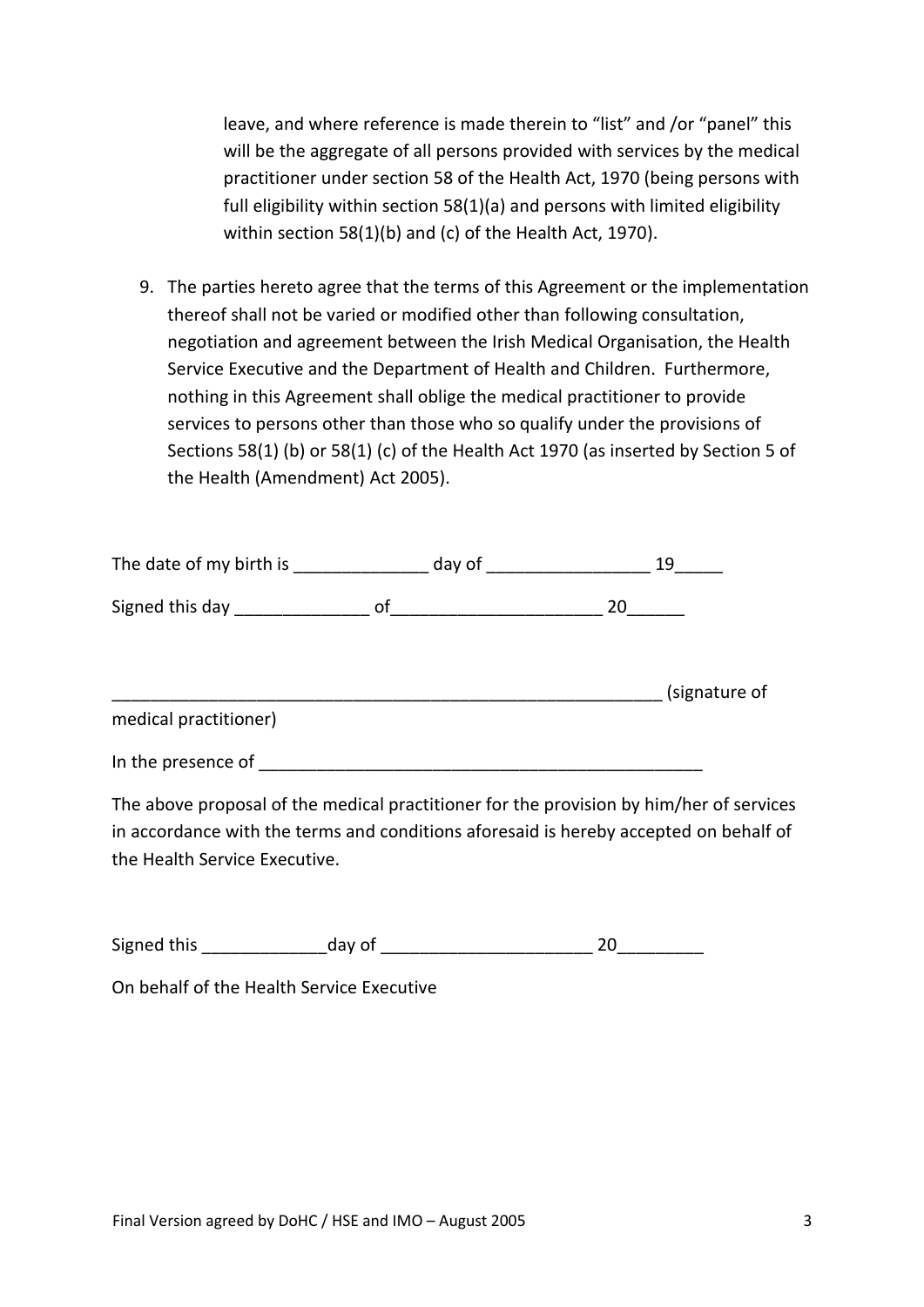leave, and where reference is made therein to "list" and /or "panel" this will be the aggregate of all persons provided with services by the medical practitioner under section 58 of the Health Act, 1970 (being persons with full eligibility within section 58(1)(a) and persons with limited eligibility within section 58(1)(b) and (c) of the Health Act, 1970).

9. The parties hereto agree that the terms of this Agreement or the implementation thereof shall not be varied or modified other than following consultation, negotiation and agreement between the Irish Medical Organisation, the Health Service Executive and the Department of Health and Children. Furthermore, nothing in this Agreement shall oblige the medical practitioner to provide services to persons other than those who so qualify under the provisions of Sections 58(1) (b) or 58(1) (c) of the Health Act 1970 (as inserted by Section 5 of the Health (Amendment) Act 2005).

| The date of my birth is |    | day of the control of the control of the control of the control of the control of the control of the control o |    | 19            |
|-------------------------|----|----------------------------------------------------------------------------------------------------------------|----|---------------|
| Signed this day         | of |                                                                                                                | 20 |               |
|                         |    |                                                                                                                |    | (signature of |
| medical practitioner)   |    |                                                                                                                |    |               |
| In the presence of      |    |                                                                                                                |    |               |

The above proposal of the medical practitioner for the provision by him/her of services in accordance with the terms and conditions aforesaid is hereby accepted on behalf of the Health Service Executive.

| Signed this | day of                                    |  |
|-------------|-------------------------------------------|--|
|             | On behalf of the Health Service Executive |  |